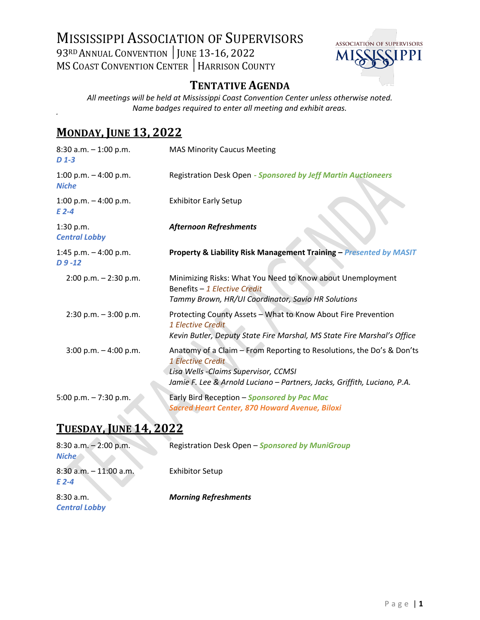# MISSISSIPPI ASSOCIATION OF SUPERVISORS 93RD ANNUAL CONVENTION | JUNE 13-16, 2022 MS COAST CONVENTION CENTER │HARRISON COUNTY



### **TENTATIVE AGENDA**

*All meetings will be held at Mississippi Coast Convention Center unless otherwise noted. Name badges required to enter all meeting and exhibit areas.*

# **MONDAY, JUNE 13, 2022**

| $8:30$ a.m. $-1:00$ p.m.<br>$D$ 1-3     | <b>MAS Minority Caucus Meeting</b>                                                                                                                                                                              |
|-----------------------------------------|-----------------------------------------------------------------------------------------------------------------------------------------------------------------------------------------------------------------|
| 1:00 p.m. $-$ 4:00 p.m.<br><b>Niche</b> | Registration Desk Open - Sponsored by Jeff Martin Auctioneers                                                                                                                                                   |
| 1:00 p.m. $-$ 4:00 p.m.<br>$E$ 2-4      | <b>Exhibitor Early Setup</b>                                                                                                                                                                                    |
| 1:30 p.m.<br><b>Central Lobby</b>       | <b>Afternoon Refreshments</b>                                                                                                                                                                                   |
| 1:45 p.m. $-$ 4:00 p.m.<br>$D9 - 12$    | Property & Liability Risk Management Training - Presented by MASIT                                                                                                                                              |
| $2:00$ p.m. $-2:30$ p.m.                | Minimizing Risks: What You Need to Know about Unemployment<br>Benefits - 1 Elective Credit<br>Tammy Brown, HR/UI Coordinator, Savio HR Solutions                                                                |
| $2:30$ p.m. $-3:00$ p.m.                | Protecting County Assets - What to Know About Fire Prevention<br>1 Elective Credit<br>Kevin Butler, Deputy State Fire Marshal, MS State Fire Marshal's Office                                                   |
| $3:00$ p.m. $-4:00$ p.m.                | Anatomy of a Claim - From Reporting to Resolutions, the Do's & Don'ts<br>1 Elective Credit<br>Lisa Wells - Claims Supervisor, CCMSI<br>Jamie F. Lee & Arnold Luciano - Partners, Jacks, Griffith, Luciano, P.A. |
| 5:00 p.m. $- 7:30$ p.m.                 | Early Bird Reception - Sponsored by Pac Mac<br><b>Sacred Heart Center, 870 Howard Avenue, Biloxi</b>                                                                                                            |

# **TUESDAY, JUNE 14, 2022**

| $8:30$ a.m. $-2:00$ p.m.<br><b>Niche</b> | Registration Desk Open - Sponsored by MuniGroup |
|------------------------------------------|-------------------------------------------------|
| $8:30$ a.m. $-11:00$ a.m.<br>$E$ 2-4     | <b>Exhibitor Setup</b>                          |
| 8:30a.m.<br><b>Central Lobby</b>         | <b>Morning Refreshments</b>                     |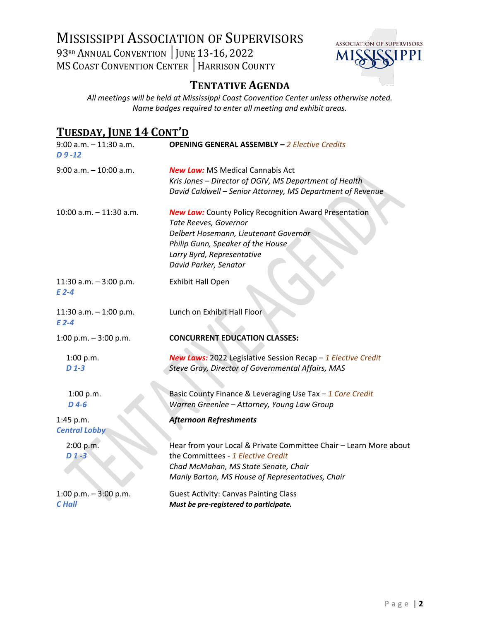# MISSISSIPPI ASSOCIATION OF SUPERVISORS 93RD ANNUAL CONVENTION | JUNE 13-16, 2022 MS COAST CONVENTION CENTER | HARRISON COUNTY



#### **TENTATIVE AGENDA**

*All meetings will be held at Mississippi Coast Convention Center unless otherwise noted. Name badges required to enter all meeting and exhibit areas.*

# **TUESDAY, JUNE 14 CONT'D**

| $9:00$ a.m. $-11:30$ a.m.<br>$D9 - 12$   | <b>OPENING GENERAL ASSEMBLY - 2 Elective Credits</b>                                                                                                                                                                       |
|------------------------------------------|----------------------------------------------------------------------------------------------------------------------------------------------------------------------------------------------------------------------------|
| $9:00$ a.m. $-10:00$ a.m.                | <b>New Law: MS Medical Cannabis Act</b><br>Kris Jones - Director of OGIV, MS Department of Health<br>David Caldwell - Senior Attorney, MS Department of Revenue                                                            |
| $10:00$ a.m. $-11:30$ a.m.               | <b>New Law:</b> County Policy Recognition Award Presentation<br>Tate Reeves, Governor<br>Delbert Hosemann, Lieutenant Governor<br>Philip Gunn, Speaker of the House<br>Larry Byrd, Representative<br>David Parker, Senator |
| 11:30 a.m. $-3:00$ p.m.<br>$E$ 2-4       | <b>Exhibit Hall Open</b>                                                                                                                                                                                                   |
| 11:30 a.m. $-$ 1:00 p.m.<br>$E$ 2-4      | Lunch on Exhibit Hall Floor                                                                                                                                                                                                |
| 1:00 p.m. $-3:00$ p.m.                   | <b>CONCURRENT EDUCATION CLASSES:</b>                                                                                                                                                                                       |
| 1:00 p.m.<br>$D$ 1-3                     | <b>New Laws:</b> 2022 Legislative Session Recap - 1 Elective Credit<br>Steve Gray, Director of Governmental Affairs, MAS                                                                                                   |
| 1:00 p.m.<br>$D$ 4-6                     | Basic County Finance & Leveraging Use Tax - 1 Core Credit<br>Warren Greenlee - Attorney, Young Law Group                                                                                                                   |
| 1:45 p.m.<br><b>Central Lobby</b>        | <b>Afternoon Refreshments</b>                                                                                                                                                                                              |
| 2:00 p.m.<br>$D1-3$                      | Hear from your Local & Private Committee Chair - Learn More about<br>the Committees - 1 Elective Credit<br>Chad McMahan, MS State Senate, Chair<br>Manly Barton, MS House of Representatives, Chair                        |
| 1:00 p.m. $-$ 3:00 p.m.<br><b>C</b> Hall | <b>Guest Activity: Canvas Painting Class</b><br>Must be pre-registered to participate.                                                                                                                                     |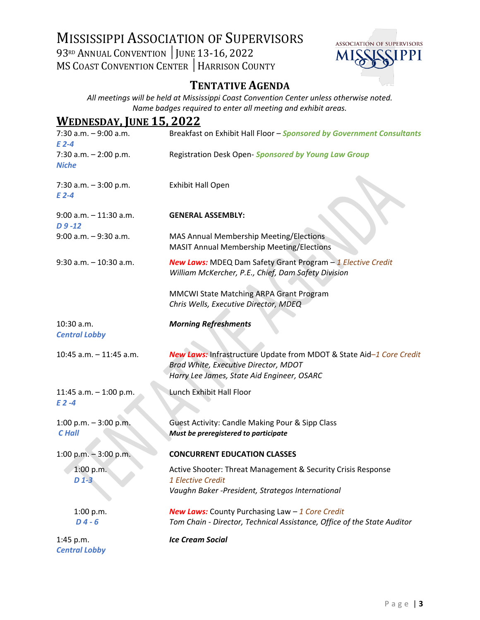# MISSISSIPPI ASSOCIATION OF SUPERVISORS 93RD ANNUAL CONVENTION | JUNE 13-16, 2022 **MS COAST CONVENTION CENTER | HARRISON COUNTY**



### **TENTATIVE AGENDA**

*All meetings will be held at Mississippi Coast Convention Center unless otherwise noted. Name badges required to enter all meeting and exhibit areas.*

#### **WEDNESDAY, JUNE 15, 2022**

| $7:30$ a.m. $-9:00$ a.m.<br>$E$ 2-4     | Breakfast on Exhibit Hall Floor - Sponsored by Government Consultants                                                                                     |
|-----------------------------------------|-----------------------------------------------------------------------------------------------------------------------------------------------------------|
| 7:30 a.m. $- 2:00$ p.m.<br><b>Niche</b> | Registration Desk Open- Sponsored by Young Law Group                                                                                                      |
| 7:30 a.m. $-3:00$ p.m.<br>$E$ 2-4       | <b>Exhibit Hall Open</b>                                                                                                                                  |
| $9:00$ a.m. $-11:30$ a.m.<br>$D9 - 12$  | <b>GENERAL ASSEMBLY:</b>                                                                                                                                  |
| $9:00$ a.m. $-9:30$ a.m.                | MAS Annual Membership Meeting/Elections<br><b>MASIT Annual Membership Meeting/Elections</b>                                                               |
| $9:30$ a.m. $-10:30$ a.m.               | <b>New Laws:</b> MDEQ Dam Safety Grant Program - 1 Elective Credit<br>William McKercher, P.E., Chief, Dam Safety Division                                 |
|                                         | MMCWI State Matching ARPA Grant Program<br>Chris Wells, Executive Director, MDEQ                                                                          |
| 10:30 a.m.<br><b>Central Lobby</b>      | <b>Morning Refreshments</b>                                                                                                                               |
| 10:45 a.m. - 11:45 a.m.                 | New Laws: Infrastructure Update from MDOT & State Aid-1 Core Credit<br>Brad White, Executive Director, MDOT<br>Harry Lee James, State Aid Engineer, OSARC |
| 11:45 a.m. $-$ 1:00 p.m.<br>$E2-4$      | Lunch Exhibit Hall Floor                                                                                                                                  |
| 1:00 p.m. $-3:00$ p.m.<br><b>C</b> Hall | Guest Activity: Candle Making Pour & Sipp Class<br>Must be preregistered to participate                                                                   |
| 1:00 p.m. $-3:00$ p.m.                  | <b>CONCURRENT EDUCATION CLASSES</b>                                                                                                                       |
| 1:00 p.m.<br>D 1-3                      | Active Shooter: Threat Management & Security Crisis Response<br>1 Elective Credit<br>Vaughn Baker -President, Strategos International                     |
| 1:00 p.m.<br>$D4 - 6$                   | <b>New Laws:</b> County Purchasing Law $-1$ Core Credit<br>Tom Chain - Director, Technical Assistance, Office of the State Auditor                        |
| $1:45$ p.m.<br><b>Central Lobby</b>     | <b>Ice Cream Social</b>                                                                                                                                   |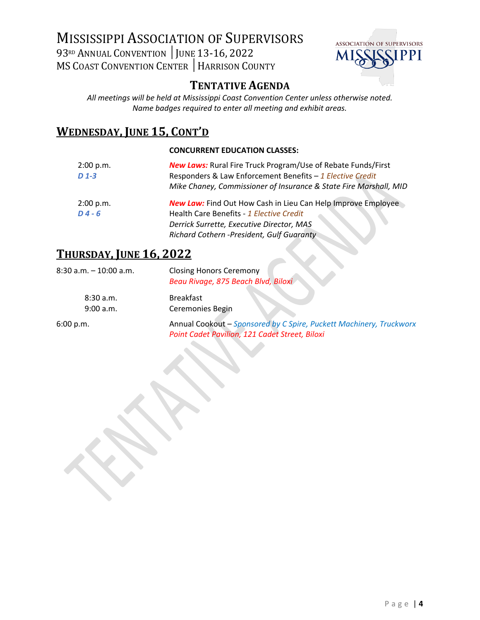# MISSISSIPPI ASSOCIATION OF SUPERVISORS 93RD ANNUAL CONVENTION | JUNE 13-16, 2022 MS COAST CONVENTION CENTER │HARRISON COUNTY



### **TENTATIVE AGENDA**

*All meetings will be held at Mississippi Coast Convention Center unless otherwise noted. Name badges required to enter all meeting and exhibit areas.*

# **WEDNESDAY, JUNE 15, CONT'D**

#### **CONCURRENT EDUCATION CLASSES:**

| 2:00 p.m. | <b>New Laws:</b> Rural Fire Truck Program/Use of Rebate Funds/First |
|-----------|---------------------------------------------------------------------|
| $D$ 1-3   | Responders & Law Enforcement Benefits - 1 Elective Credit           |
|           | Mike Chaney, Commissioner of Insurance & State Fire Marshall, MID   |
| 2:00 p.m. | <b>New Law:</b> Find Out How Cash in Lieu Can Help Improve Employee |
| $D4 - 6$  | Health Care Benefits - 1 Elective Credit                            |
|           | Derrick Surrette, Executive Director, MAS                           |
|           | Richard Cothern -President, Gulf Guaranty                           |
|           |                                                                     |

#### **THURSDAY, JUNE 16, 2022**

| $8:30$ a.m. $-10:00$ a.m. | <b>Closing Honors Ceremony</b><br>Beau Rivage, 875 Beach Blvd, Biloxi                                                 |
|---------------------------|-----------------------------------------------------------------------------------------------------------------------|
| 8:30a.m.<br>9:00 a.m.     | <b>Breakfast</b><br>Ceremonies Begin                                                                                  |
| 6:00 p.m.                 | Annual Cookout - Sponsored by C Spire, Puckett Machinery, Truckworx<br>Point Cadet Pavilion, 121 Cadet Street, Biloxi |